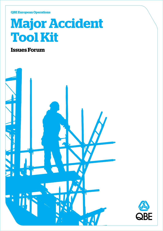**QBE European Operations**

# **Major Accident Tool Kit**

**Issues Forum**

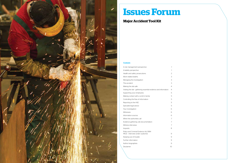

# **Issues Forum**

# **Major Accident Tool Kit**

# **Contents**

| A risk management perspective                                              | 1  |
|----------------------------------------------------------------------------|----|
| A liability perspective                                                    | 1  |
| Health and safety prosecutions                                             | 2  |
| Work related deaths                                                        | 3  |
| Managing the investigation                                                 | 3  |
| The accident                                                               | 3  |
| Making the site safe                                                       | 4  |
| Visiting the site - gathering essential evidence and information           | 4  |
| Supporting your employees                                                  | 5  |
| Making contact with a victim's family                                      | 5  |
| Controlling the flow of information                                        | 5  |
| Reporting to the HSE                                                       | 5  |
| Specialist legal advice                                                    | 5  |
| Your investigation                                                         | 6  |
| Witnesses                                                                  | 6  |
| Information sources                                                        | 6  |
| When the authorities call                                                  | 7  |
| Evidence gathering: site documentation                                     | 7  |
| Witness interviews                                                         | 7  |
| <b>Inquests</b>                                                            | 8  |
| Police and Criminal Evidence Act 1984<br>PACE - interview under caution(s) | 9  |
| Keeping out of trouble                                                     | 9  |
| Further information                                                        | 9  |
| Author biographies                                                         | 9  |
| Disclaimer                                                                 | 10 |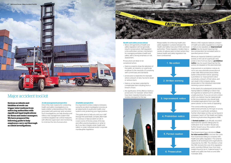**Serious accidents and fatalities at work can trigger interventions from enforcing authorities with significant legal implications for firms and senior managers. We have prepared the following guide to help employers carry out thorough accident investigations.**

# A risk management perspective

One of the main reasons for conducting health and safety investigations is to build a better understanding of the risks associated with particular work activities. Such investigations can help develop and refine a risk management system that combines targeted risk control measures with effective supervision and monitoring to minimise the risk of prosecution.

# A liability perspective

• Minor infringements of health and safety legislation will not generally result in prosecutions. Self-regulation is the authorities' primary mechanism for managing workplace health and safety, with a strong emphasis on risk assessment.

It is important to strike a balance between, using the accident investigation process as an opportunity to audit and modify your systems and, protecting your legal position.

- there is a need to draw the attention of the public, an industry, or a particular employer to the necessity of complying with current laws and standards
- prosecution is expected, for example: where a breach of duty has led to death or serious injury
- there is, or has been, potential for considerable harm resulting from a breach of duty
- the significance of the offence merits a prosecution, for example: where there have been repeated breaches and a reckless disregard for the law



This guide aims to help you and your staff through the potentially complex aftermath of a serious or fatal accident on site. It covers some of the key areas of the law and offers practical guidance on what to do if you face charges under health and safety or under individual and/or corporate manslaughter legislation.



# Major accident tool kit

## Health and safety prosecutions

Prosecutions are likely to be considered where:

> A **formal caution** is an officially recorded reprimand for specific failings prior to notification of an incident. Should any further breach occur this caution will be taken into consideration.

The Government have introduced Fees for intervention (FFI) to recover the costs from businesses failing to company with health and safety regulation. The scheme applies to all businesses and organisations inspected by the HSE. The intention is that the HSE recovers the cost of its regulatory work, currently £124 per hour, from duty holders found to be in "material breach" of health and safety law that occured after 1 October 2012.



Responsibility for enforcing health and safety legislation is shared between the Health and Safety Executive (HSE) and local authorities. These regulatory bodies have a variety of options open to them where they believe health and safety legislation has been contravened: Where a HSE inspector believes a breach of health and safety regulations is ongoing or likely to be repeated, an *improvement* notice may be issued requiring that the contravention be remedied within a specified period of time.



Where an inspector believes a particular activity, or the use of a particular area, poses a risk of serious injury, a **prohibition notice** may be issued requiring that the activity be stopped or the area restricted.

Improvement or prohibition notices do not in any way preclude prosecution at a later date. Most prosecutions follow earlier enforcement notices. Ignoring a prohibition or improvement notice constitutes a breach of that notice, and can result in the company being prosecuted or the individual responsible receiving a prison sentence.

In the event of a subsequent prosecution, having failed to challenge a notice may be regarded as tantamount to admitting unsafe practices. If you are served a notice which you believe may be inappropriate to the circumstances, you should seek immediate legal advice from your QBE panel solicitor on the merits of appealing.

The correct enforcing authority is determined primarily by the type of activity carried on in a particular workplace. Further information on this can be found in schedules 1 and 2 of The Health and Safety (Enforcing Authorities) Regulations 1998.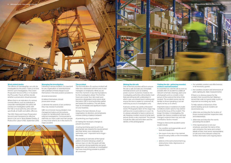# Work related deaths

The offence of manslaughter can only be investigated by the police. There is no time limit for such investigations. The Crown Prosecution Service (CPS), or in Scotland the Procurator Fiscal, will then decide whether a prosecution should proceed.

Where there is an indication of a serious criminal offence, such as individual or corporate manslaughter, the police will conduct an investigation jointly with the HSE or local authority, who will look specifically at health and safety offences.

The HSE, Police and Crown Prosecution Service's joint framework for effective liaison is set out in 'Work Related Deaths: A Protocol for Liaison' [HSE, September 2011]

# Managing the investigation

Following a serious incident, it is important for any organisation or individual faced with potential criminal charges to put themselves in the best position possible to:

a) avoid prosecution

b) defend themselves, should prosecution ensue

c) diminish the severity of any sentence they may receive if convicted

QBE recommends having detailed crisis management plans and procedures in place for handling both internal and external investigations. Communicate to staff that you have a plan and train people so they know what to do in the event of a major accident.

# The accident

The first indication of a serious incident will often be a distressed call from one of your managers or employees. What you do from this moment on lays the foundations for the investigation ahead. The first few hours are crucial. Your site could soon become a designated crime scene while the police, HSE or local authorities gather and assess the evidence. This will clearly have an immediate and significant impact on your business.

Acting in the best interests of your organisation, its directors, and employees involves striking a balance between

a) protecting your legal position

b) making the necessary changes to prevent recurrence

- the condition and appropriate use of tools and equipment
- the cause of any slip or trip claimed (avoid focusing solely on the immediate cause)
- defects in the work environment e.g. obstructions, holes, depressions or slippery floors



c) acting (and being seen to act) in an appropriate way towards the injured person and their family, your employees, the authorities, and – important not to forget – the media.

- the suitability, position and effectiveness of all necessary guards
- the condition, location and dimensions of plant, lighting etc. (take measurements).

By providing an overview of the typical pattern of events following a death or serious injury on site, this guide will help you exercise strong leadership and good judgement, and coordinate an investigation that does everything possible to protect all concerned.

- determine and describe the location of those involved and their respective roles and relationships
- • determine and describe the events preceding the accident
- if the injured person is not your employee, ascertain the name of the sub-contractor, the name and contact details of their most senior representative on site and of the relevant contact for further information and ongoing liaison

#### Making the site safe



One of the first priorities will be to ensure the site is safe and take any immediate remedial actions such as isolating power sources. In practice, however, the investigating authorities will probably insist that everything be left undisturbed. In which case, you should touch nothing and ensure the area is sealed or cordoned off, restricting access to investigators only.

A picture, as they say, paints a thousand words. Photographs taken at this stage may well become crucial evidence in court. So it is always advisable to have a camera on site. Keeping a written record of what each picture shows is also important. This should include the date and time taken and the identity of the photographer.

# Visiting the site – gathering essential evidence and information

It is essential you visit the site as soon as possible after an accident to collate all relevant schematic drawings, plans and photographs and so compile a clear picture of the scene at the time of the incident. The accident scene may be familiar to those operating it, but will clearly be less so to others.

Important clues or evidence of unsafe conditions and/or actions may well be found at the locus of the incident. The longer the delay in investigating, the greater the chance conditions will have changed, evidence been lost, and vital contributory factors missed.

Things to check at the accident scene would include:

If there is no obvious reason for the accident, then record this fact. Making a record that a site is in good order, is just as important as recording any faults.

To help capture a full picture of the events leading up to an incident, we recommend you: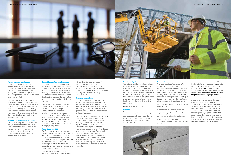#### Supporting your employees

It is clearly advisable to offer immediate support and advice to any employees involved in or affected by the incident. This might include counselling, line management support, or legal advice – depending on the individual and how they have been affected.

Having a director or a health and safety adviser present during the aftermath and the subsequent investigation can provide invaluable support. It also shows you take the incident seriously and care about your employees' welfare, as does discussing the incident with employees, even if you do not specifically require a witness statement from them.

#### Making contact with a victim's family

The people liaising most closely with the family will normally be the immediate employer and the Police Family Liaison service. But even if you are not the employer, you may still have an important part to play in providing support and information.

# Controlling the flow of information

Establishing clear lines of communication helps everyone, not least the authorities. One senior individual should have sole authority to speak and act on behalf of your organisation. All onsite employees should be aware of this person's contact details, so they can pass them on to the authorities or any other interested parties on request.

This person, or another senior person – preferably someone with media skills – should handle all press enquiries. Dealing with the media can be a minefield. It is important to provide journalists with appropriate information and/or carefully worded statements in a timely fashion. Inappropriate 'off the record' statements or a poorly expressed comments in an interview can seriously damage your reputation.

# Reporting to the HSE

The Reporting of Injuries, Diseases and Dangerous Occurrences Regulations 2013 (RIDDOR) impose a legal duty on the immediate employer or the company in control of the premises to report any death or serious incident to the relevant enforcing authority forthwith, by the quickest practicable means. It is important you keep a record of your report.

You can fulfil your legal duty to report the death or serious workplace accident,

without delay, by reporting online at www.hse.gov.uk/riddor. A telephone service is also provided for reporting fatal and specified injuries only - call the Incident Contact Centre on 0845 300 9923 (opening hours Monday to Friday 08:30 to 17.00).

#### Specialist legal advice

Once your organisation – and potentially its directors and employees – have become the subject of a criminal investigation, it is essential you have access to legal advisers with the right expertise and resources to guide you through what can be an intense and stressful process.



The police and HSE inspectors investigating you will be trained and experienced in criminal procedure and law, so it is vital your organisation can call on similar expertise. All QBE's panel solicitors are selected for their expertise in this field. They can advise you, amongst other things, about the concept of Legal Professional Privilege. This effectively protects you from having to disclose documentation, statements and reports prepared in the aftermath of an incident to the police or HSE. This is something your own internal investigation should be aware of from the very outset!

#### Your investigation

Your internal accident investigator should be on site as soon as possible to begin investigating the incident's causes and identifying any necessary improvements to current working practices. It is essential, however, that your investigation reflects the fact that a criminal investigation is also underway. Taking prompt and pertinent legal advice can be critically important in this context.

Key considerations include:

#### **Witnesses**

Record the accounts of all witnesses who are in a fit condition to be interviewed as soon as possible. Ensure those who are not, receive proper medical attention and arrange to see them at a more appropriate time.

# Information sources

The exact location of persons and/or equipment at the time of the incident will often be unclear. Equipment, barriers and other items can become displaced in the process of helping the injured party – creating confusion as to how an incident occurred. Photographs or video footage of the scene can help avoid this – particularly when accompanied by detailed notes.

CCTV footage can also sometimes provide valuable clues.

It is important to preserve all relevant materials, plant, equipment and paperwork, as these may be required much later as part of a civil or criminal investigation.

It is also vital you notify your company's directors, brokers and insurers of any accident.



The form and content of your report have legal implications which could prove crucial if proceedings are subsequently issued. It is important your 'draft' report is marked as such at all stages. Each page should also be marked 'without prejudice – prepared for the purposes of taking legal advice.'

The person undertaking your investigation should have been trained for the task. If you need to use health and safety consultants or other external providers to carry out your investigation, you should maintain close control over how they do so, and/or contact your nominated QBE claims inspector/QBE panel solicitor. If the authorities ask for a copy of your report, take legal advice before providing one and ensure you limit the circulation of your draft report to the fewest people possible.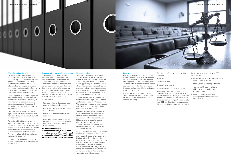# When the authorities call

The way you communicate with the authorities can significantly affect the company's legal position, your employees' position, and your reputation. In the event of a death, both the police and HSE will normally arrive on your premises to commence their investigations. Both have a legal right to enter under Section 20 of the Health and Safety at Work Act 1974.

Under Corporate Manslaughter legislation, the police are obliged to remain involved until they can eliminate the possibility of bringing charges. It could take weeks, months, even years for them to satisfy themselves that your senior managers are not culpable.

The police and the HSE have different legal powers. If in doubt as the extent of their respective powers, consult your QBE panel solicitor.

The police will treat the site as a crime scene. They may insist that all work stops in the area of the incident while they assess the scene and gather evidence. Equipment in use at the time of the accident may be seized and removed from your site. You may be asked to help dismantle and transport this equipment.

- take legal advice on the categories of documentation seized or copied
- keep a copy of everything removed from your premises
- record all documentation taken by the authorities
- ask any contractor whose employee has been injured on your site for copies of any documents they provide to the authorities

If possible, it is a good idea to make office facilities on site available to police officers and inspectors.

Evidence gathering: site documentation

You should also:

# Paper and/or computer records for the period prior to the incident may well be requested or even seized. This could include method statements, risk assessments, inspection documentation, training records and any permits to work. Before removing from site, we strongly recommend taking three copies of any relevant documents. If the police or HSE take the only copy of a document, there is a danger you may lose track of it.

It is important to keep all correspondence with your legal team separate and marked "covered by legal professional privilege." The authorities have no right to seize these documents.

#### Witness interviews

- ask the coroner what evidence he or she intends calling or reading
- advise you on questioning witnesses
- help you alert the coroner to any additional witnesses with relevant testimony to add
- appear for you at inquest and make appropriate representations on legal issues

The enforcing authorities will want to interview eye-witnesses first, followed by anyone else involved in the lead-up to the incident. They will aim to do this at the earliest opportunity and normally write up witness statements on the spot. It is worth remembering that the evidence provided by your senior managers will be central to any investigation into either individual or corporate manslaughter charges.



If you think employees may not be fit to be interviewed, take legal advice – and be sure to raise the issue with the authorities. Where possible, interview all employees as part of your internal investigation before they speak to the authorities.

The HSE has powers to force witnesses to answer questions. Your solicitors can establish the legal basis of employees' interviews and advise accordingly. Your QBE panel solicitor can offer general advice to your employees on the interview process. For anything more detailed, however, it is best to consult an independent solicitor.

It is good practice, though by no means the norm, for the authorities to provide your employees with a copy of any statement they have given. This helps by giving them a record they can check should they have any concerns about misstatements or omissions. If a witness volunteers a copy of their statement, it may help you identify issues to address and prepare for any interview under caution when the investigation nears its conclusion.

#### **Inquests**

Any sudden death at work will trigger an inquest. Those considered to be interested parties will include the deceased's family, their employer, those in control of premises where the fatal injury occurred, and anyone else whose conduct is likely to be called into question. Each is entitled to participate in the inquest process.

Inquests are limited in their scope, but allows all interested parties to explore the relevant facts and observe witnesses under questioning.

# The Coroner's Court is only required to establish:

1 who died,

2 when they died,

3 where they died, and

4 under what circumstances they died

Apportioning blame is not part of the Coroner's remit. The facts that unfold at inquest, however, can strongly influence the chances of prosecution. So it makes sense to be represented at inquest – preferably by your QBE panel solicitor, who can also act for you later, should proceedings be issued.

In the context of an inquest, your QBE panel solicitor can: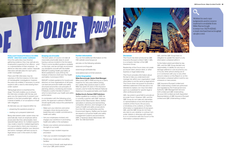



# Police and Criminal Evidence Act 1984 (PACE) – interview under caution(s)

Once the authorities have finished gathering evidence, they may well ask any employee(s) suspected of an offence – and/ or a representative of their employer – to attend an interview under caution. Separate interviews will take place for each party under investigation.

Police and HSE interviews may be voluntary in the first instance. In the case of manslaughter investigations, however, the police are entitled, if necessary, to arrest suspects with a view to interviewing them under caution.

Taking legal advice is essential at this stage. This both enables you to ensure the interview complies with the law, and gives you the opportunity to present your position in the best possible light – either as In combination with the following action a denial of liability or an acceptance of fault with mitigation.

At interview you can respond either by:

- answering the questions posed, or
- reading out a prepared statement

Being interviewed under caution does not automatically mean an employee will be prosecuted. But they will probably need separate legal advice. So multiple suspects may create a need for multiple legal teams. It is a good idea to check your insurance policies to establish whether your directors and senior managers will have access to legal advice cover in the event of a fatal accident.

- Make sure your directors and senior managers show strong and active leadership and a visible commitment to health and safety
- Get your employees involved, and engage your workforce in promoting health and safety in the workplace
- Review your policies and procedures in the light of our toolkit
- Prepare a major incident response procedure
- Train your accident investigation team
- Review your media and counselling facilities
- If in any kind of doubt, seek legal advice from your QBE panel solicitor.

# Keeping out of trouble

The best option, of course, is to take all reasonably practicable steps to avoid having a serious incident in the first place. There is some excellent guidance available on this topic, and we strongly recommend you familiarise yourself with the leaflet INDG417 (Leading Health and Safety at Work) published in June 2013 by the Institute of Directors (IoD) and The Health and Safety Commission (HSC).

INDG417 contains guidance for boards and directors on how organisations of all types can lead and promote health and safety, structured around the core principles of planning, delivery, monitoring and review. It features a useful checklist of areas in which to benchmark your health and safety performance.

points, the approach outlined in INDG417 should significantly reduce the potential for prosecution.

# Further information

You can find additional information on the HSE website www.hse.gov.uk

and also on the following websites:

www.iod.com/hsguide

www.hse.gov.uk/leadership

www.qbeeurope.com/risk-solutions

# Author biographies

Mike Barraclough, Senior Risk Manager

Mike joined QBE in 1998 serving as a Claims Inspector for nine years before joining the Liability Risk Solutions team in 2007. Mike has spent 30 years in the insurance industry and he holds the Nebosh National Diploma in Occupational Safety and Health.

# Steffan Groch, Partner DWF Solicitors

Steffan qualified as a solicitor in 1995. He is currently a partner with DWF Solicitors, based at their Manchester offices. Steffan specialises in advising and representing companies, directors, and managers in all types of health and safety prosecutions from the HSE, local authorities and the Environment Agency. Steffan and his team are experts in proactive health and safety management systems and procedures. DWF, 2 Hardman Street, Manchester, M3 3HH. Tel: 0161 603 5000



#### Disclaimer

This Forum has been produced by QBE Insurance (Europe) Limited ("QIEL"). QIEL is a company member of the QBE Insurance Group.

Readership of this Forum does not create an insurer-client, advisor-client, or other business or legal relationship.

This Forum provides information about the law to help you understand and manage risk within your organisation. Legal information is not the same as legal advice. This Forum does not purport to provide a definitive statement of the law and is not intended to replace, nor may it be relied upon as a substitute for specific legal or other professional advice.

QIEL has acted in good faith to provide an accurate Forum. However, QIEL and the QBE Group do not make any warranties or representations of any kind about the contents of this Forum, the accuracy or timeliness of its contents, or that the information or explanations (if any) given. QIEL and the QBE Group do not have any duty to you, whether in contract, tort, under statute or otherwise with respect to or in connection with this Forum or the information contained within it.

QIEL and the QBE Group have no obligation to update this report or any information contained within it.

To the fullest extent permitted by law, QIEL and the QBE Group disclaim any responsibility or liability for any loss or damage suffered or cost incurred by you or by any other person arising out of or in connection with your or any other person's reliance on this Report or on the information contained within it and for any omissions or inaccuracies.

QBE Insurance (Europe) Limited and QBE Underwriting Limited are authorised and regulated by the Financial Services Authority. QBE Management Services (UK) Limited and QBE Underwriting Services (UK) Limited are both Appointed Representatives of QBE Insurance (Europe) Limited and QBE Underwriting Limited.

Written by and copy judgments and/or source material is available from Mike Barraclough (contact no: 01274 421142, e-mail: michael.barraclough@ uk.qbe.com).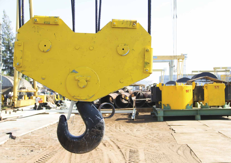